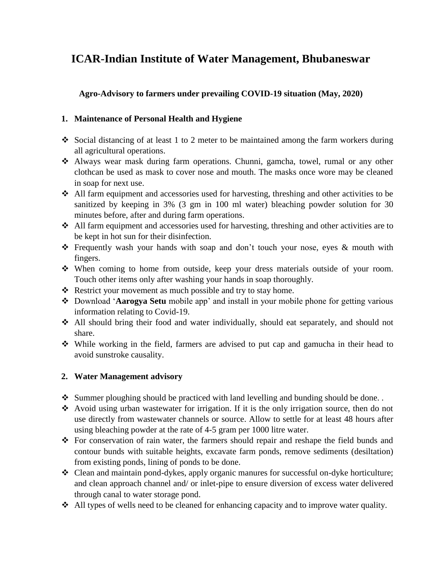# **ICAR-Indian Institute of Water Management, Bhubaneswar**

**Agro-Advisory to farmers under prevailing COVID-19 situation (May, 2020)**

## **1. Maintenance of Personal Health and Hygiene**

- Social distancing of at least 1 to 2 meter to be maintained among the farm workers during all agricultural operations.
- Always wear mask during farm operations. Chunni, gamcha, towel, rumal or any other clothcan be used as mask to cover nose and mouth. The masks once wore may be cleaned in soap for next use.
- All farm equipment and accessories used for harvesting, threshing and other activities to be sanitized by keeping in 3% (3 gm in 100 ml water) bleaching powder solution for 30 minutes before, after and during farm operations.
- All farm equipment and accessories used for harvesting, threshing and other activities are to be kept in hot sun for their disinfection.
- Frequently wash your hands with soap and don't touch your nose, eyes & mouth with fingers.
- When coming to home from outside, keep your dress materials outside of your room. Touch other items only after washing your hands in soap thoroughly.
- $\triangle$  Restrict your movement as much possible and try to stay home.
- Download '**Aarogya Setu** mobile app' and install in your mobile phone for getting various information relating to Covid-19.
- All should bring their food and water individually, should eat separately, and should not share.
- While working in the field, farmers are advised to put cap and gamucha in their head to avoid sunstroke causality.

# **2. Water Management advisory**

- $\bullet$  Summer ploughing should be practiced with land levelling and bunding should be done...
- Avoid using urban wastewater for irrigation. If it is the only irrigation source, then do not use directly from wastewater channels or source. Allow to settle for at least 48 hours after using bleaching powder at the rate of 4-5 gram per 1000 litre water.
- For conservation of rain water, the farmers should repair and reshape the field bunds and contour bunds with suitable heights, excavate farm ponds, remove sediments (desiltation) from existing ponds, lining of ponds to be done.
- Clean and maintain pond-dykes, apply organic manures for successful on-dyke horticulture; and clean approach channel and/ or inlet-pipe to ensure diversion of excess water delivered through canal to water storage pond.
- All types of wells need to be cleaned for enhancing capacity and to improve water quality.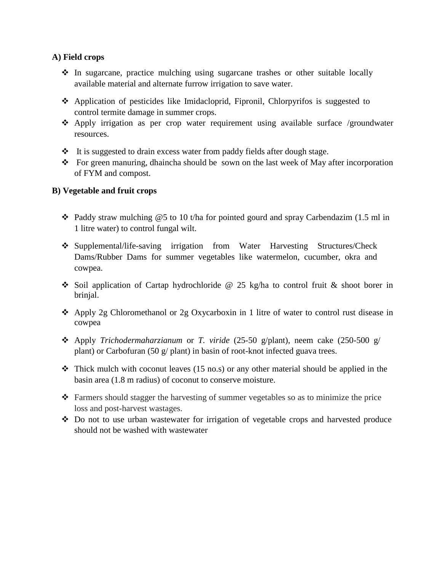#### **A) Field crops**

- $\div$  In sugarcane, practice mulching using sugarcane trashes or other suitable locally available material and alternate furrow irrigation to save water.
- Application of pesticides like Imidacloprid, Fipronil, Chlorpyrifos is suggested to control termite damage in summer crops.
- Apply irrigation as per crop water requirement using available surface /groundwater resources.
- $\cdot \cdot$  It is suggested to drain excess water from paddy fields after dough stage.
- \* For green manuring, dhaincha should be sown on the last week of May after incorporation of FYM and compost.

### **B) Vegetable and fruit crops**

- $\cdot$  Paddy straw mulching @5 to 10 t/ha for pointed gourd and spray Carbendazim (1.5 ml in 1 litre water) to control fungal wilt.
- Supplemental/life-saving irrigation from Water Harvesting Structures/Check Dams/Rubber Dams for summer vegetables like watermelon, cucumber, okra and cowpea.
- Soil application of Cartap hydrochloride  $\omega$  25 kg/ha to control fruit & shoot borer in brinjal.
- $\triangle$  Apply 2g Chloromethanol or 2g Oxycarboxin in 1 litre of water to control rust disease in cowpea
- Apply *Trichodermaharzianum* or *T. viride* (25-50 g/plant), neem cake (250-500 g/ plant) or Carbofuran (50 g/ plant) in basin of root-knot infected guava trees.
- $\cdot \cdot$  Thick mulch with coconut leaves (15 no.s) or any other material should be applied in the basin area (1.8 m radius) of coconut to conserve moisture.
- $\div$  Farmers should stagger the harvesting of summer vegetables so as to minimize the price loss and post-harvest wastages.
- Do not to use urban wastewater for irrigation of vegetable crops and harvested produce should not be washed with wastewater